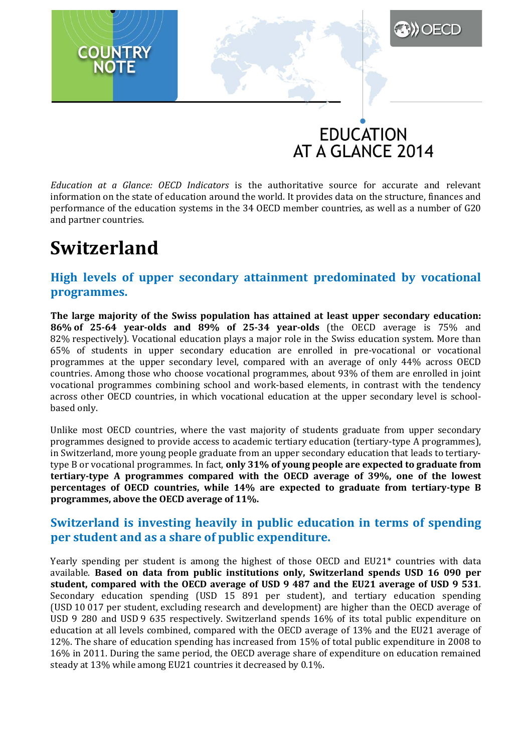## **EDUCATION** AT A GLANCE 2014

**A)** OECD

*Education at a Glance: OECD Indicators* is the authoritative source for accurate and relevant information on the state of education around the world. It provides data on the structure, finances and performance of the education systems in the 34 OECD member countries, as well as a number of G20 and partner countries.

## **Switzerland**

#### **High levels of upper secondary attainment predominated by vocational programmes.**

**The large majority of the Swiss population has attained at least upper secondary education: 86% of 25-64 year-olds and 89% of 25-34 year-olds** (the OECD average is 75% and 82% respectively). Vocational education plays a major role in the Swiss education system. More than 65% of students in upper secondary education are enrolled in pre-vocational or vocational programmes at the upper secondary level, compared with an average of only 44% across OECD countries. Among those who choose vocational programmes, about 93% of them are enrolled in joint vocational programmes combining school and work-based elements, in contrast with the tendency across other OECD countries, in which vocational education at the upper secondary level is schoolbased only.

Unlike most OECD countries, where the vast majority of students graduate from upper secondary programmes designed to provide access to academic tertiary education (tertiary-type A programmes), in Switzerland, more young people graduate from an upper secondary education that leads to tertiarytype B or vocational programmes. In fact, **only 31% of young people are expected to graduate from tertiary-type A programmes compared with the OECD average of 39%, one of the lowest percentages of OECD countries, while 14% are expected to graduate from tertiary-type B programmes, above the OECD average of 11%.**

#### **Switzerland is investing heavily in public education in terms of spending per student and as a share of public expenditure.**

Yearly spending per student is among the highest of those OECD and EU21\* countries with data available. **Based on data from public institutions only, Switzerland spends USD 16 090 per student, compared with the OECD average of USD 9 487 and the EU21 average of USD 9 531**. Secondary education spending (USD 15 891 per student), and tertiary education spending (USD 10 017 per student, excluding research and development) are higher than the OECD average of USD 9 280 and USD 9 635 respectively. Switzerland spends 16% of its total public expenditure on education at all levels combined, compared with the OECD average of 13% and the EU21 average of 12%. The share of education spending has increased from 15% of total public expenditure in 2008 to 16% in 2011. During the same period, the OECD average share of expenditure on education remained steady at 13% while among EU21 countries it decreased by 0.1%.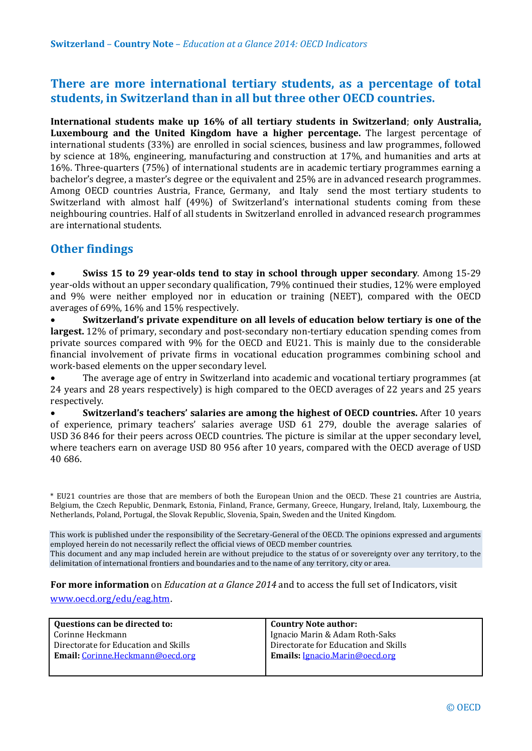#### **There are more international tertiary students, as a percentage of total students, in Switzerland than in all but three other OECD countries.**

**International students make up 16% of all tertiary students in Switzerland**; **only Australia, Luxembourg and the United Kingdom have a higher percentage.** The largest percentage of international students (33%) are enrolled in social sciences, business and law programmes, followed by science at 18%, engineering, manufacturing and construction at 17%, and humanities and arts at 16%. Three-quarters (75%) of international students are in academic tertiary programmes earning a bachelor's degree, a master's degree or the equivalent and 25% are in advanced research programmes. Among OECD countries Austria, France, Germany, and Italy send the most tertiary students to Switzerland with almost half (49%) of Switzerland's international students coming from these neighbouring countries. Half of all students in Switzerland enrolled in advanced research programmes are international students.

#### **Other findings**

• **Swiss 15 to 29 year-olds tend to stay in school through upper secondary**. Among 15-29 year-olds without an upper secondary qualification, 79% continued their studies, 12% were employed and 9% were neither employed nor in education or training (NEET), compared with the OECD averages of 69%, 16% and 15% respectively.

• **Switzerland's private expenditure on all levels of education below tertiary is one of the largest.** 12% of primary, secondary and post-secondary non-tertiary education spending comes from private sources compared with 9% for the OECD and EU21. This is mainly due to the considerable financial involvement of private firms in vocational education programmes combining school and work-based elements on the upper secondary level.

• The average age of entry in Switzerland into academic and vocational tertiary programmes (at 24 years and 28 years respectively) is high compared to the OECD averages of 22 years and 25 years respectively.

• **Switzerland's teachers' salaries are among the highest of OECD countries.** After 10 years of experience, primary teachers' salaries average USD 61 279, double the average salaries of USD 36 846 for their peers across OECD countries. The picture is similar at the upper secondary level, where teachers earn on average USD 80 956 after 10 years, compared with the OECD average of USD 40 686.

\* EU21 countries are those that are members of both the European Union and the OECD. These 21 countries are Austria, Belgium, the Czech Republic, Denmark, Estonia, Finland, France, Germany, Greece, Hungary, Ireland, Italy, Luxembourg, the Netherlands, Poland, Portugal, the Slovak Republic, Slovenia, Spain, Sweden and the United Kingdom.

This work is published under the responsibility of the Secretary-General of the OECD. The opinions expressed and arguments employed herein do not necessarily reflect the official views of OECD member countries.

This document and any map included herein are without prejudice to the status of or sovereignty over any territory, to the delimitation of international frontiers and boundaries and to the name of any territory, city or area.

**For more information** on *Education at a Glance 2014* and to access the full set of Indicators, visit

[www.oecd.org/edu/eag.htm](http://www.oecd.org/edu/eag.htm).

| Questions can be directed to:            | <b>Country Note author:</b>          |
|------------------------------------------|--------------------------------------|
| Corinne Heckmann                         | Ignacio Marin & Adam Roth-Saks       |
| Directorate for Education and Skills     | Directorate for Education and Skills |
| <b>Email:</b> Corinne. Heckmann@oecd.org | Emails: Ignacio.Marin@oecd.org       |
|                                          |                                      |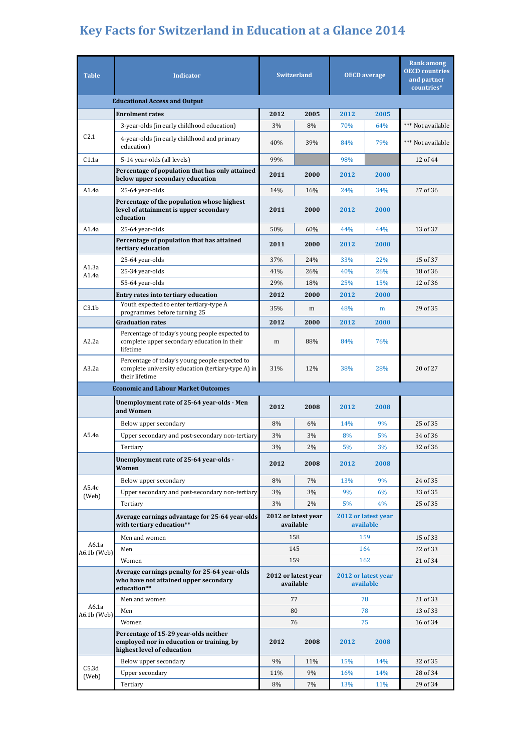# **Key Facts for Switzerland in Education at a Glance 2014**

| <b>Table</b>                         | <b>Indicator</b>                                                                                                       | <b>Switzerland</b>                                                   |      | <b>OECD</b> average              |      | <b>Rank among</b><br><b>OECD</b> countries<br>and partner<br>countries* |  |  |  |
|--------------------------------------|------------------------------------------------------------------------------------------------------------------------|----------------------------------------------------------------------|------|----------------------------------|------|-------------------------------------------------------------------------|--|--|--|
| <b>Educational Access and Output</b> |                                                                                                                        |                                                                      |      |                                  |      |                                                                         |  |  |  |
|                                      | <b>Enrolment rates</b>                                                                                                 | 2012                                                                 | 2005 | 2012                             | 2005 |                                                                         |  |  |  |
|                                      | 3-year-olds (in early childhood education)                                                                             | 3%                                                                   | 8%   | 70%                              | 64%  | *** Not available                                                       |  |  |  |
| C2.1                                 | 4-year-olds (in early childhood and primary<br>education)                                                              | 40%                                                                  | 39%  | 84%                              | 79%  | *** Not available                                                       |  |  |  |
| C1.1a                                | 5-14 year-olds (all levels)                                                                                            | 99%                                                                  |      | 98%                              |      | 12 of 44                                                                |  |  |  |
|                                      | Percentage of population that has only attained<br>below upper secondary education                                     | 2011                                                                 | 2000 | 2012                             | 2000 |                                                                         |  |  |  |
| A1.4a                                | 25-64 year-olds                                                                                                        | 14%                                                                  | 16%  | 24%                              | 34%  | 27 of 36                                                                |  |  |  |
|                                      | Percentage of the population whose highest<br>level of attainment is upper secondary<br>education                      | 2011                                                                 | 2000 | 2012                             | 2000 |                                                                         |  |  |  |
| A1.4a                                | 25-64 year-olds                                                                                                        | 50%                                                                  | 60%  | 44%                              | 44%  | 13 of 37                                                                |  |  |  |
|                                      | Percentage of population that has attained<br>tertiary education                                                       | 2011                                                                 | 2000 | 2012                             | 2000 |                                                                         |  |  |  |
| A1.3a                                | 25-64 year-olds                                                                                                        | 37%                                                                  | 24%  | 33%                              | 22%  | 15 of 37                                                                |  |  |  |
| A1.4a                                | 25-34 year-olds                                                                                                        | 41%                                                                  | 26%  | 40%                              | 26%  | 18 of 36                                                                |  |  |  |
|                                      | 55-64 year-olds                                                                                                        | 29%                                                                  | 18%  | 25%                              | 15%  | 12 of 36                                                                |  |  |  |
|                                      | Entry rates into tertiary education                                                                                    | 2012                                                                 | 2000 | 2012                             | 2000 |                                                                         |  |  |  |
| C3.1 <sub>b</sub>                    | Youth expected to enter tertiary-type A<br>programmes before turning 25                                                | 35%                                                                  | m    | 48%                              | m    | 29 of 35                                                                |  |  |  |
|                                      | <b>Graduation rates</b>                                                                                                | 2012                                                                 | 2000 | 2012                             | 2000 |                                                                         |  |  |  |
| A2.2a                                | Percentage of today's young people expected to<br>complete upper secondary education in their<br>lifetime              | m                                                                    | 88%  | 84%                              | 76%  |                                                                         |  |  |  |
| A3.2a                                | Percentage of today's young people expected to<br>complete university education (tertiary-type A) in<br>their lifetime | 31%                                                                  | 12%  | 38%                              | 28%  | 20 of 27                                                                |  |  |  |
|                                      | <b>Economic and Labour Market Outcomes</b>                                                                             |                                                                      |      |                                  |      |                                                                         |  |  |  |
|                                      | Unemployment rate of 25-64 year-olds - Men<br>and Women                                                                | 2012                                                                 | 2008 | 2012                             | 2008 |                                                                         |  |  |  |
|                                      | Below upper secondary                                                                                                  | 8%                                                                   | 6%   | 14%                              | 9%   | 25 of 35                                                                |  |  |  |
| A5.4a                                | Upper secondary and post-secondary non-tertiary                                                                        | 3%                                                                   | 3%   | 8%                               | 5%   | 34 of 36                                                                |  |  |  |
|                                      | Tertiary                                                                                                               | 3%                                                                   | 2%   | 5%                               | 3%   | 32 of 36                                                                |  |  |  |
|                                      | Unemployment rate of 25-64 year-olds -<br>Women                                                                        | 2012                                                                 | 2008 | 2012                             | 2008 |                                                                         |  |  |  |
|                                      | Below upper secondary                                                                                                  | 8%                                                                   | 7%   | 13%                              | 9%   | 24 of 35                                                                |  |  |  |
| A5.4c<br>(Web)                       | Upper secondary and post-secondary non-tertiary                                                                        | 3%                                                                   | 3%   | 9%                               | 6%   | 33 of 35                                                                |  |  |  |
|                                      | Tertiary                                                                                                               | 3%                                                                   | 2%   | 5%                               | 4%   | 25 of 35                                                                |  |  |  |
|                                      | Average earnings advantage for 25-64 year-olds<br>with tertiary education**                                            | 2012 or latest year<br>2012 or latest year<br>available<br>available |      |                                  |      |                                                                         |  |  |  |
|                                      | Men and women                                                                                                          | 158                                                                  |      | 159                              |      | 15 of 33                                                                |  |  |  |
| A6.1a<br>A6.1b (Web)                 | Men                                                                                                                    | 145                                                                  |      | 164                              |      | 22 of 33                                                                |  |  |  |
|                                      | Women                                                                                                                  | 159                                                                  |      | 162                              |      | 21 of 34                                                                |  |  |  |
|                                      | Average earnings penalty for 25-64 year-olds<br>who have not attained upper secondary<br>education**                   | 2012 or latest year<br>available                                     |      | 2012 or latest year<br>available |      |                                                                         |  |  |  |
|                                      | Men and women                                                                                                          | 77                                                                   |      | 78                               |      | 21 of 33                                                                |  |  |  |
| A6.1a<br>A6.1b (Web)                 | Men                                                                                                                    | 80                                                                   |      | 78                               |      | 13 of 33                                                                |  |  |  |
|                                      | Women                                                                                                                  | 76                                                                   |      | 75                               |      | 16 of 34                                                                |  |  |  |
|                                      | Percentage of 15-29 year-olds neither<br>employed nor in education or training, by<br>highest level of education       | 2012                                                                 | 2008 | 2012                             | 2008 |                                                                         |  |  |  |
|                                      | Below upper secondary                                                                                                  | 9%                                                                   | 11%  | 15%                              | 14%  | 32 of 35                                                                |  |  |  |
| C5.3d<br>(Web)                       | <b>Upper secondary</b>                                                                                                 | 11%                                                                  | 9%   | 16%                              | 14%  | 28 of 34                                                                |  |  |  |
|                                      | Tertiary                                                                                                               | 8%                                                                   | 7%   | 13%                              | 11%  | 29 of 34                                                                |  |  |  |